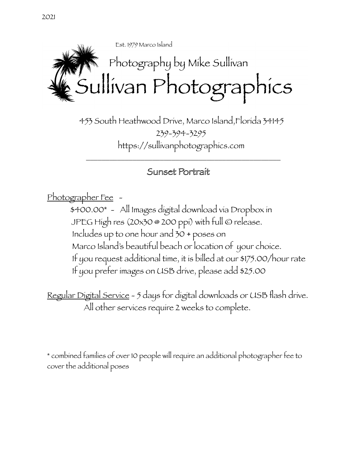



 453 South Heathwood Drive, Marco Island,Florida 34145 239-394-3295 https://sullivanphotographics.com

## Sunset Portrait

 $\overline{\phantom{a}}$  ,  $\overline{\phantom{a}}$  ,  $\overline{\phantom{a}}$  ,  $\overline{\phantom{a}}$  ,  $\overline{\phantom{a}}$  ,  $\overline{\phantom{a}}$  ,  $\overline{\phantom{a}}$  ,  $\overline{\phantom{a}}$  ,  $\overline{\phantom{a}}$  ,  $\overline{\phantom{a}}$  ,  $\overline{\phantom{a}}$  ,  $\overline{\phantom{a}}$  ,  $\overline{\phantom{a}}$  ,  $\overline{\phantom{a}}$  ,  $\overline{\phantom{a}}$  ,  $\overline{\phantom{a}}$ 

Photographer Fee -

 \$400.00\* - All Images digital download via Dropbox in JPEG High res (20x30 @ 200 ppi) with full © release. Includes up to one hour and 30 + poses on Marco Island's beautiful beach or location of your choice. If you request additional time, it is billed at our \$175.00/hour rate If you prefer images on USB drive, please add \$25.00

Regular Digital Service - 5 days for digital downloads or USB flash drive. All other services require 2 weeks to complete.

\* combined families of over 10 people will require an additional photographer fee to cover the additional poses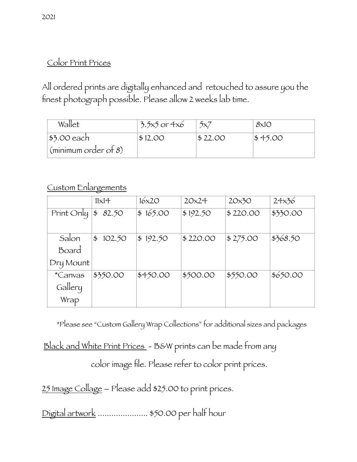## Color Print Prices

All ordered prints are digitally enhanced and retouched to assure you the finest photograph possible. Please allow 2 weeks lab time.

| Wallet                             | $3.5x5$ or $4x6$ | 5x7     | $8\times10$ |
|------------------------------------|------------------|---------|-------------|
| $ $ \$3.00 each                    | \$12.00          | \$22.00 | \$45.00     |
| $\frac{1}{2}$ (minimum order of 8) |                  |         |             |

## Custom Enlargements

|                | $11\times14$            | 16x20    | 20x24    | 20x30    | 24x36    |
|----------------|-------------------------|----------|----------|----------|----------|
| Print Only     | 82.50<br>\$             | \$165.00 | \$192.50 | \$220.00 | \$330.00 |
|                |                         |          |          |          |          |
| Salon          | $\frac{4}{5}$<br>102.50 | \$192.50 | \$220.00 | \$275.00 | \$368.50 |
| Board          |                         |          |          |          |          |
| Dry Mount      |                         |          |          |          |          |
| <i>*Canvas</i> | \$350.00                | \$450.00 | \$500.00 | \$550.00 | \$650.00 |
| Gallery        |                         |          |          |          |          |
| Wrap           |                         |          |          |          |          |

\*Please see "Custom Gallery Wrap Collections" for additional sizes and packages

Black and White Print Prices - B&W prints can be made from any color image file. Please refer to color print prices.

25 Image Collage – Please add \$25.00 to print prices.

Digital artwork ...................... \$50.00 per half hour